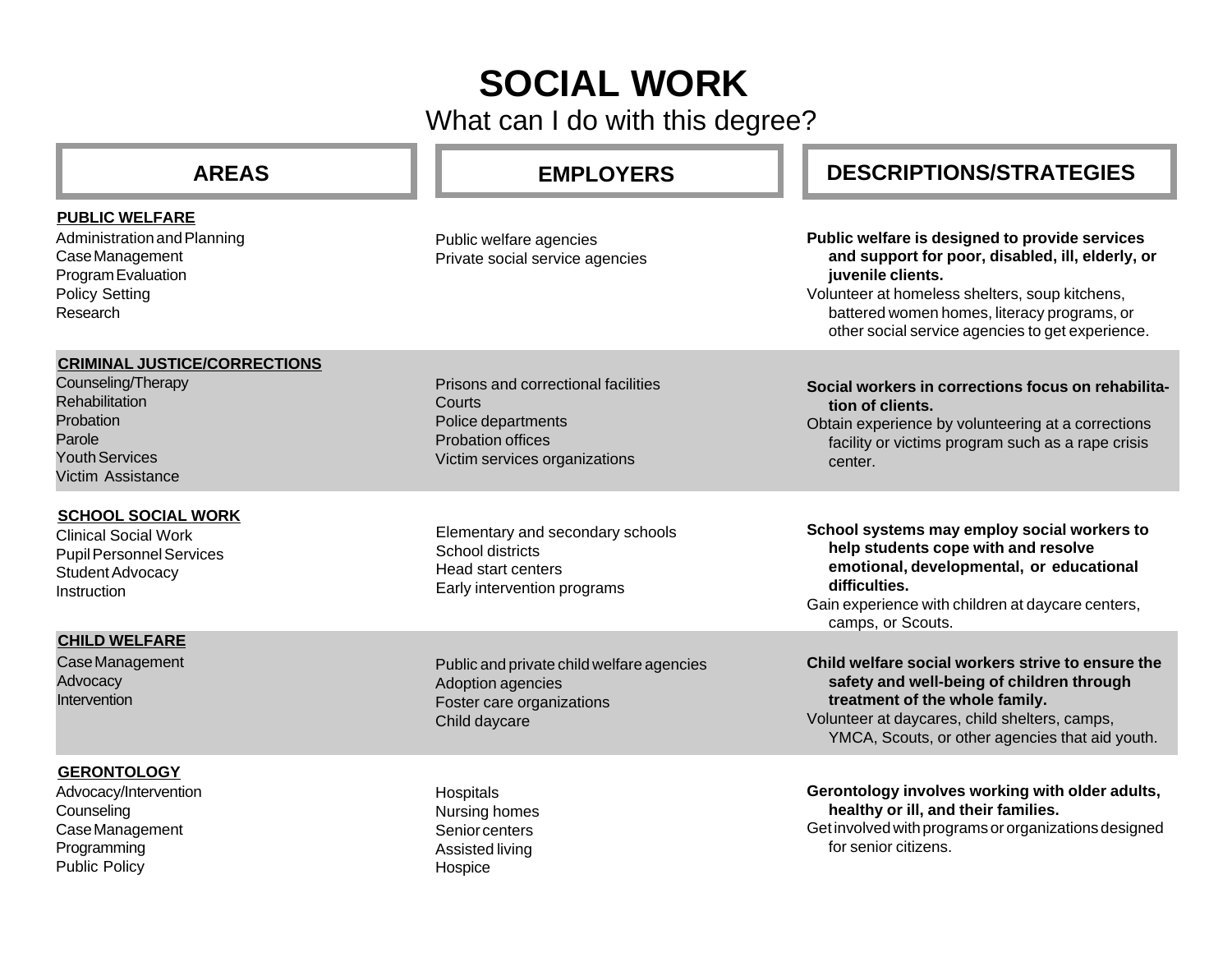## **SOCIAL WORK**

What can I do with this degree?

| <b>AREAS</b>                                                                                                                                     | <b>EMPLOYERS</b>                                                                                                                 | <b>DESCRIPTIONS/STRATEGIES</b>                                                                                                                                                                                                                                               |
|--------------------------------------------------------------------------------------------------------------------------------------------------|----------------------------------------------------------------------------------------------------------------------------------|------------------------------------------------------------------------------------------------------------------------------------------------------------------------------------------------------------------------------------------------------------------------------|
| <b>PUBLIC WELFARE</b><br>Administration and Planning<br>Case Management<br>Program Evaluation<br><b>Policy Setting</b><br>Research               | Public welfare agencies<br>Private social service agencies                                                                       | Public welfare is designed to provide services<br>and support for poor, disabled, ill, elderly, or<br>juvenile clients.<br>Volunteer at homeless shelters, soup kitchens,<br>battered women homes, literacy programs, or<br>other social service agencies to get experience. |
| <b>CRIMINAL JUSTICE/CORRECTIONS</b><br>Counseling/Therapy<br>Rehabilitation<br>Probation<br>Parole<br><b>Youth Services</b><br>Victim Assistance | Prisons and correctional facilities<br>Courts<br>Police departments<br><b>Probation offices</b><br>Victim services organizations | Social workers in corrections focus on rehabilita-<br>tion of clients.<br>Obtain experience by volunteering at a corrections<br>facility or victims program such as a rape crisis<br>center.                                                                                 |
| <b>SCHOOL SOCIAL WORK</b><br><b>Clinical Social Work</b><br><b>Pupil Personnel Services</b><br>Student Advocacy<br>Instruction                   | Elementary and secondary schools<br>School districts<br><b>Head start centers</b><br>Early intervention programs                 | School systems may employ social workers to<br>help students cope with and resolve<br>emotional, developmental, or educational<br>difficulties.<br>Gain experience with children at daycare centers,<br>camps, or Scouts.                                                    |
| <b>CHILD WELFARE</b><br>Case Management<br>Advocacy<br>Intervention                                                                              | Public and private child welfare agencies<br>Adoption agencies<br>Foster care organizations<br>Child daycare                     | Child welfare social workers strive to ensure the<br>safety and well-being of children through<br>treatment of the whole family.<br>Volunteer at daycares, child shelters, camps,<br>YMCA, Scouts, or other agencies that aid youth.                                         |
| <b>GERONTOLOGY</b><br>Advocacy/Intervention<br>Counseling<br>Case Management<br>Programming<br><b>Public Policy</b>                              | Hospitals<br>Nursing homes<br>Senior centers<br>Assisted living<br>Hospice                                                       | Gerontology involves working with older adults,<br>healthy or ill, and their families.<br>Get involved with programs or organizations designed<br>for senior citizens.                                                                                                       |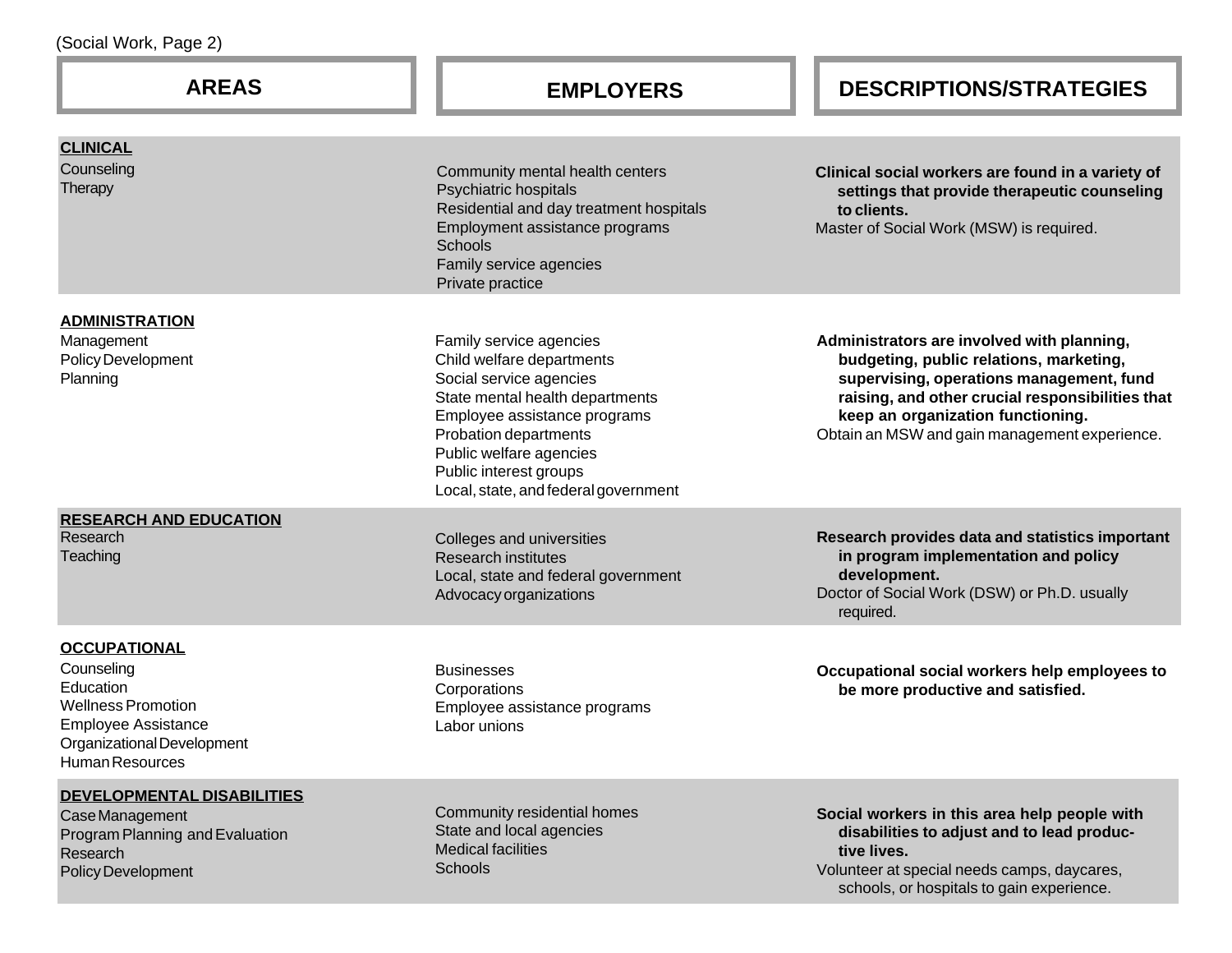| <b>AREAS</b>                                                                                                                                                      | <b>EMPLOYERS</b>                                                                                                                                                                                                                                                         | <b>DESCRIPTIONS/STRATEGIES</b>                                                                                                                                                                                                                                              |
|-------------------------------------------------------------------------------------------------------------------------------------------------------------------|--------------------------------------------------------------------------------------------------------------------------------------------------------------------------------------------------------------------------------------------------------------------------|-----------------------------------------------------------------------------------------------------------------------------------------------------------------------------------------------------------------------------------------------------------------------------|
| <b>CLINICAL</b><br>Counseling<br>Therapy                                                                                                                          | Community mental health centers<br>Psychiatric hospitals<br>Residential and day treatment hospitals<br>Employment assistance programs<br><b>Schools</b><br>Family service agencies<br>Private practice                                                                   | Clinical social workers are found in a variety of<br>settings that provide therapeutic counseling<br>to clients.<br>Master of Social Work (MSW) is required.                                                                                                                |
| <b>ADMINISTRATION</b><br>Management<br><b>Policy Development</b><br>Planning                                                                                      | Family service agencies<br>Child welfare departments<br>Social service agencies<br>State mental health departments<br>Employee assistance programs<br>Probation departments<br>Public welfare agencies<br>Public interest groups<br>Local, state, and federal government | Administrators are involved with planning,<br>budgeting, public relations, marketing,<br>supervising, operations management, fund<br>raising, and other crucial responsibilities that<br>keep an organization functioning.<br>Obtain an MSW and gain management experience. |
| <b>RESEARCH AND EDUCATION</b><br>Research<br>Teaching                                                                                                             | Colleges and universities<br><b>Research institutes</b><br>Local, state and federal government<br>Advocacy organizations                                                                                                                                                 | Research provides data and statistics important<br>in program implementation and policy<br>development.<br>Doctor of Social Work (DSW) or Ph.D. usually<br>required.                                                                                                        |
| <b>OCCUPATIONAL</b><br>Counseling<br>Education<br><b>Wellness Promotion</b><br><b>Employee Assistance</b><br>Organizational Development<br><b>Human Resources</b> | <b>Businesses</b><br>Corporations<br>Employee assistance programs<br>Labor unions                                                                                                                                                                                        | Occupational social workers help employees to<br>be more productive and satisfied.                                                                                                                                                                                          |
| <b>DEVELOPMENTAL DISABILITIES</b><br>Case Management<br>Program Planning and Evaluation<br>Research<br>Policy Development                                         | Community residential homes<br>State and local agencies<br><b>Medical facilities</b><br>Schools                                                                                                                                                                          | Social workers in this area help people with<br>disabilities to adjust and to lead produc-<br>tive lives.<br>Volunteer at special needs camps, daycares,<br>schools, or hospitals to gain experience.                                                                       |

(Social Work, Page 2)